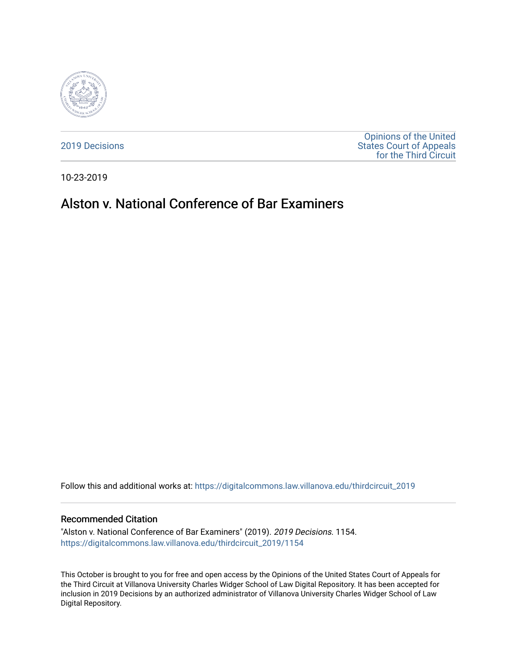

[2019 Decisions](https://digitalcommons.law.villanova.edu/thirdcircuit_2019)

[Opinions of the United](https://digitalcommons.law.villanova.edu/thirdcircuit)  [States Court of Appeals](https://digitalcommons.law.villanova.edu/thirdcircuit)  [for the Third Circuit](https://digitalcommons.law.villanova.edu/thirdcircuit) 

10-23-2019

# Alston v. National Conference of Bar Examiners

Follow this and additional works at: [https://digitalcommons.law.villanova.edu/thirdcircuit\\_2019](https://digitalcommons.law.villanova.edu/thirdcircuit_2019?utm_source=digitalcommons.law.villanova.edu%2Fthirdcircuit_2019%2F1154&utm_medium=PDF&utm_campaign=PDFCoverPages) 

#### Recommended Citation

"Alston v. National Conference of Bar Examiners" (2019). 2019 Decisions. 1154. [https://digitalcommons.law.villanova.edu/thirdcircuit\\_2019/1154](https://digitalcommons.law.villanova.edu/thirdcircuit_2019/1154?utm_source=digitalcommons.law.villanova.edu%2Fthirdcircuit_2019%2F1154&utm_medium=PDF&utm_campaign=PDFCoverPages) 

This October is brought to you for free and open access by the Opinions of the United States Court of Appeals for the Third Circuit at Villanova University Charles Widger School of Law Digital Repository. It has been accepted for inclusion in 2019 Decisions by an authorized administrator of Villanova University Charles Widger School of Law Digital Repository.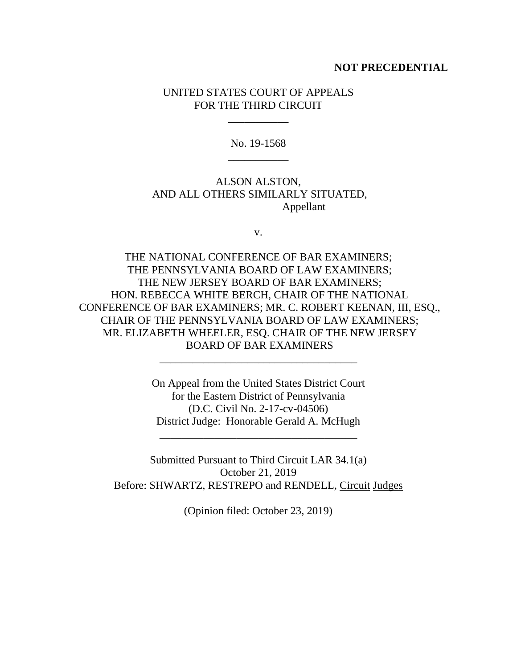### **NOT PRECEDENTIAL**

## UNITED STATES COURT OF APPEALS FOR THE THIRD CIRCUIT

\_\_\_\_\_\_\_\_\_\_\_

No. 19-1568 \_\_\_\_\_\_\_\_\_\_\_

ALSON ALSTON, AND ALL OTHERS SIMILARLY SITUATED, Appellant

v.

THE NATIONAL CONFERENCE OF BAR EXAMINERS; THE PENNSYLVANIA BOARD OF LAW EXAMINERS; THE NEW JERSEY BOARD OF BAR EXAMINERS; HON. REBECCA WHITE BERCH, CHAIR OF THE NATIONAL CONFERENCE OF BAR EXAMINERS; MR. C. ROBERT KEENAN, III, ESQ., CHAIR OF THE PENNSYLVANIA BOARD OF LAW EXAMINERS; MR. ELIZABETH WHEELER, ESQ. CHAIR OF THE NEW JERSEY BOARD OF BAR EXAMINERS

> On Appeal from the United States District Court for the Eastern District of Pennsylvania (D.C. Civil No. 2-17-cv-04506) District Judge: Honorable Gerald A. McHugh

\_\_\_\_\_\_\_\_\_\_\_\_\_\_\_\_\_\_\_\_\_\_\_\_\_\_\_\_\_\_\_\_\_\_\_\_

\_\_\_\_\_\_\_\_\_\_\_\_\_\_\_\_\_\_\_\_\_\_\_\_\_\_\_\_\_\_\_\_\_\_\_\_

Submitted Pursuant to Third Circuit LAR 34.1(a) October 21, 2019 Before: SHWARTZ, RESTREPO and RENDELL, Circuit Judges

(Opinion filed: October 23, 2019)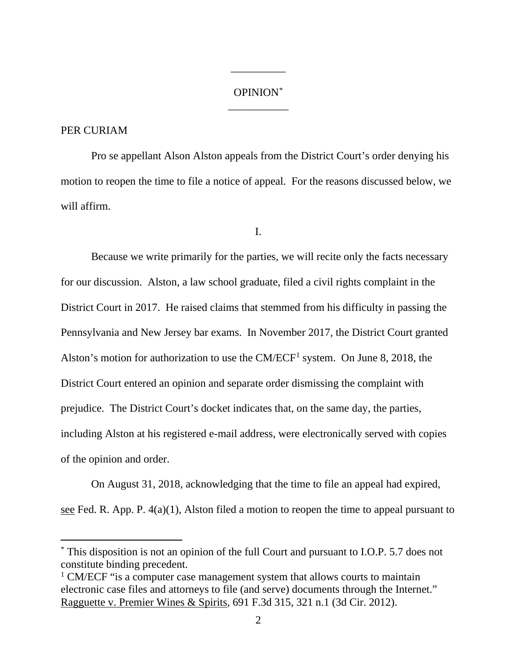## OPINION\* \_\_\_\_\_\_\_\_\_\_\_

\_\_\_\_\_\_\_\_\_\_

## PER CURIAM

Pro se appellant Alson Alston appeals from the District Court's order denying his motion to reopen the time to file a notice of appeal. For the reasons discussed below, we will affirm.

I.

Because we write primarily for the parties, we will recite only the facts necessary for our discussion. Alston, a law school graduate, filed a civil rights complaint in the District Court in 2017. He raised claims that stemmed from his difficulty in passing the Pennsylvania and New Jersey bar exams. In November 2017, the District Court granted Alston's motion for authorization to use the  $CM/ECF<sup>1</sup>$  system. On June 8, 2018, the District Court entered an opinion and separate order dismissing the complaint with prejudice. The District Court's docket indicates that, on the same day, the parties, including Alston at his registered e-mail address, were electronically served with copies of the opinion and order.

On August 31, 2018, acknowledging that the time to file an appeal had expired, see Fed. R. App. P.  $4(a)(1)$ , Alston filed a motion to reopen the time to appeal pursuant to

 <sup>\*</sup> This disposition is not an opinion of the full Court and pursuant to I.O.P. 5.7 does not constitute binding precedent.

<sup>&</sup>lt;sup>1</sup> CM/ECF "is a computer case management system that allows courts to maintain electronic case files and attorneys to file (and serve) documents through the Internet." Ragguette v. Premier Wines & Spirits, 691 F.3d 315, 321 n.1 (3d Cir. 2012).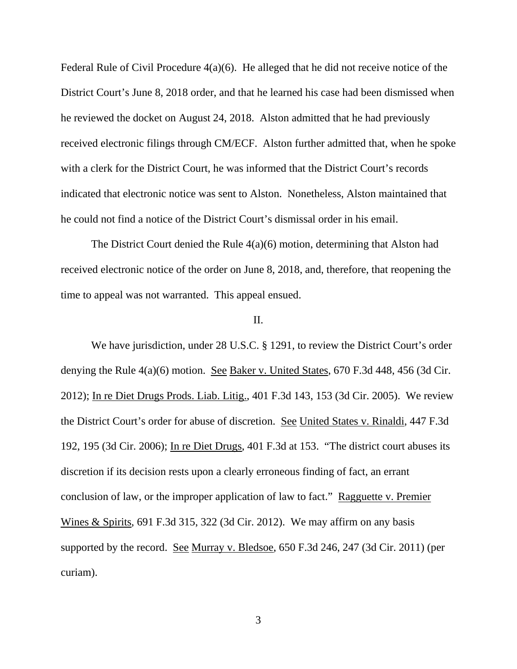Federal Rule of Civil Procedure 4(a)(6). He alleged that he did not receive notice of the District Court's June 8, 2018 order, and that he learned his case had been dismissed when he reviewed the docket on August 24, 2018. Alston admitted that he had previously received electronic filings through CM/ECF. Alston further admitted that, when he spoke with a clerk for the District Court, he was informed that the District Court's records indicated that electronic notice was sent to Alston. Nonetheless, Alston maintained that he could not find a notice of the District Court's dismissal order in his email.

The District Court denied the Rule 4(a)(6) motion, determining that Alston had received electronic notice of the order on June 8, 2018, and, therefore, that reopening the time to appeal was not warranted. This appeal ensued.

#### II.

We have jurisdiction, under 28 U.S.C. § 1291, to review the District Court's order denying the Rule  $4(a)(6)$  motion. See Baker v. United States, 670 F.3d 448, 456 (3d Cir. 2012); In re Diet Drugs Prods. Liab. Litig., 401 F.3d 143, 153 (3d Cir. 2005). We review the District Court's order for abuse of discretion. See United States v. Rinaldi, 447 F.3d 192, 195 (3d Cir. 2006); In re Diet Drugs, 401 F.3d at 153. "The district court abuses its discretion if its decision rests upon a clearly erroneous finding of fact, an errant conclusion of law, or the improper application of law to fact." Ragguette v. Premier Wines & Spirits, 691 F.3d 315, 322 (3d Cir. 2012). We may affirm on any basis supported by the record. See Murray v. Bledsoe, 650 F.3d 246, 247 (3d Cir. 2011) (per curiam).

3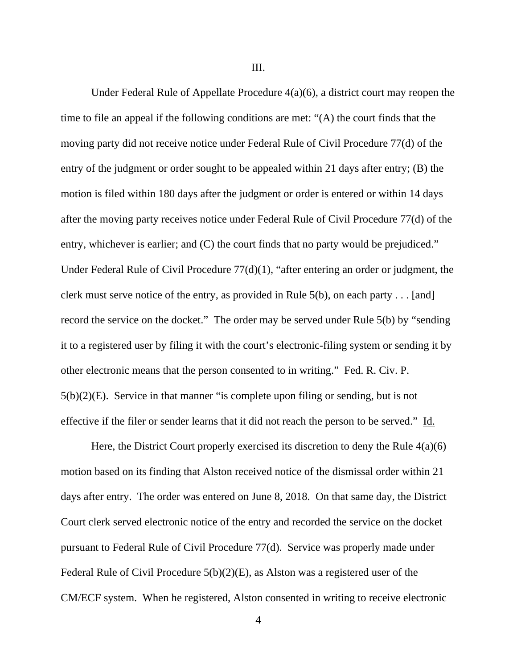III.

Under Federal Rule of Appellate Procedure 4(a)(6), a district court may reopen the time to file an appeal if the following conditions are met: "(A) the court finds that the moving party did not receive notice under Federal Rule of Civil Procedure 77(d) of the entry of the judgment or order sought to be appealed within 21 days after entry; (B) the motion is filed within 180 days after the judgment or order is entered or within 14 days after the moving party receives notice under Federal Rule of Civil Procedure 77(d) of the entry, whichever is earlier; and (C) the court finds that no party would be prejudiced." Under Federal Rule of Civil Procedure 77(d)(1), "after entering an order or judgment, the clerk must serve notice of the entry, as provided in Rule 5(b), on each party . . . [and] record the service on the docket." The order may be served under Rule 5(b) by "sending it to a registered user by filing it with the court's electronic-filing system or sending it by other electronic means that the person consented to in writing." Fed. R. Civ. P. 5(b)(2)(E). Service in that manner "is complete upon filing or sending, but is not effective if the filer or sender learns that it did not reach the person to be served." Id.

Here, the District Court properly exercised its discretion to deny the Rule  $4(a)(6)$ motion based on its finding that Alston received notice of the dismissal order within 21 days after entry. The order was entered on June 8, 2018. On that same day, the District Court clerk served electronic notice of the entry and recorded the service on the docket pursuant to Federal Rule of Civil Procedure 77(d). Service was properly made under Federal Rule of Civil Procedure 5(b)(2)(E), as Alston was a registered user of the CM/ECF system. When he registered, Alston consented in writing to receive electronic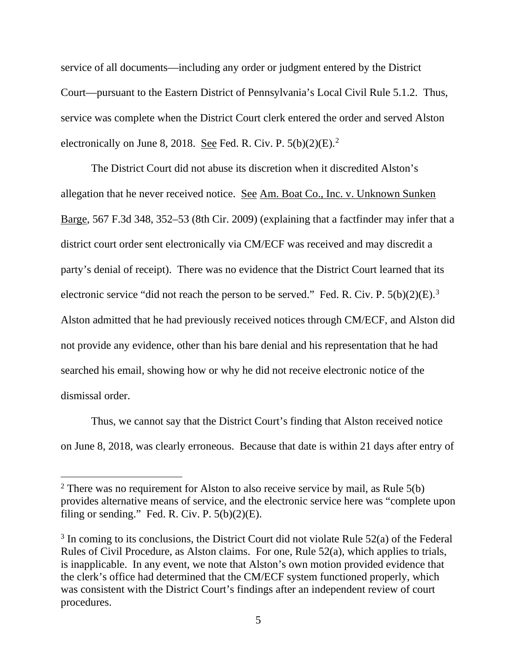service of all documents—including any order or judgment entered by the District Court—pursuant to the Eastern District of Pennsylvania's Local Civil Rule 5.1.2. Thus, service was complete when the District Court clerk entered the order and served Alston electronically on June 8, 2018. See Fed. R. Civ. P.  $5(b)(2)(E)$ .<sup>2</sup>

The District Court did not abuse its discretion when it discredited Alston's allegation that he never received notice. See Am. Boat Co., Inc. v. Unknown Sunken Barge, 567 F.3d 348, 352–53 (8th Cir. 2009) (explaining that a factfinder may infer that a district court order sent electronically via CM/ECF was received and may discredit a party's denial of receipt). There was no evidence that the District Court learned that its electronic service "did not reach the person to be served." Fed. R. Civ. P.  $5(b)(2)(E).$ <sup>3</sup> Alston admitted that he had previously received notices through CM/ECF, and Alston did not provide any evidence, other than his bare denial and his representation that he had searched his email, showing how or why he did not receive electronic notice of the dismissal order.

Thus, we cannot say that the District Court's finding that Alston received notice on June 8, 2018, was clearly erroneous. Because that date is within 21 days after entry of

<sup>&</sup>lt;sup>2</sup> There was no requirement for Alston to also receive service by mail, as Rule  $5(b)$ provides alternative means of service, and the electronic service here was "complete upon filing or sending." Fed. R. Civ. P.  $5(b)(2)(E)$ .

 $3$  In coming to its conclusions, the District Court did not violate Rule 52(a) of the Federal Rules of Civil Procedure, as Alston claims. For one, Rule 52(a), which applies to trials, is inapplicable. In any event, we note that Alston's own motion provided evidence that the clerk's office had determined that the CM/ECF system functioned properly, which was consistent with the District Court's findings after an independent review of court procedures.